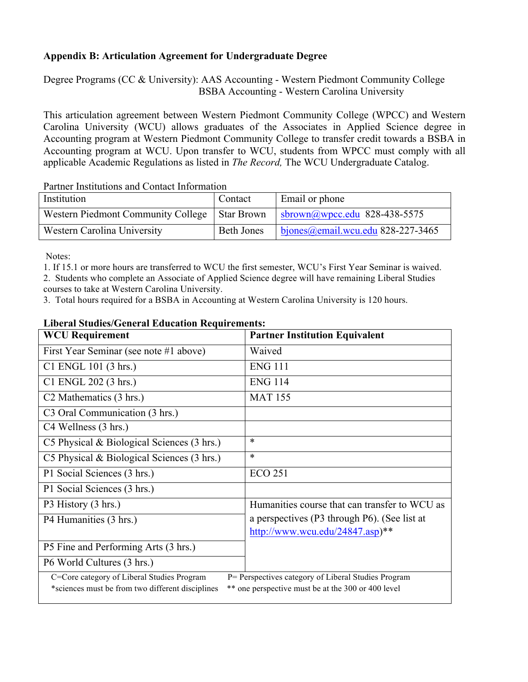## **Appendix B: Articulation Agreement for Undergraduate Degree**

Degree Programs (CC & University): AAS Accounting - Western Piedmont Community College BSBA Accounting - Western Carolina University

This articulation agreement between Western Piedmont Community College (WPCC) and Western Carolina University (WCU) allows graduates of the Associates in Applied Science degree in Accounting program at Western Piedmont Community College to transfer credit towards a BSBA in Accounting program at WCU. Upon transfer to WCU, students from WPCC must comply with all applicable Academic Regulations as listed in *The Record,* The WCU Undergraduate Catalog.

Partner Institutions and Contact Information

| Institution                                     | Contact    | Email or phone                                   |
|-------------------------------------------------|------------|--------------------------------------------------|
| Western Piedmont Community College   Star Brown |            | sbrown@wpcc.edu 828-438-5575                     |
| Western Carolina University                     | Beth Jones | $\frac{1}{2}$ bjones @email.wcu.edu 828-227-3465 |

Notes:

1. If 15.1 or more hours are transferred to WCU the first semester, WCU's First Year Seminar is waived.

2. Students who complete an Associate of Applied Science degree will have remaining Liberal Studies courses to take at Western Carolina University.

3. Total hours required for a BSBA in Accounting at Western Carolina University is 120 hours.

| <b>WCU Requirement</b>                                                                                 | <b>Partner Institution Equivalent</b>         |  |  |
|--------------------------------------------------------------------------------------------------------|-----------------------------------------------|--|--|
| First Year Seminar (see note #1 above)                                                                 | Waived                                        |  |  |
| C1 ENGL 101 (3 hrs.)                                                                                   | <b>ENG 111</b>                                |  |  |
| C1 ENGL 202 (3 hrs.)                                                                                   | <b>ENG 114</b>                                |  |  |
| C <sub>2</sub> Mathematics (3 hrs.)                                                                    | <b>MAT 155</b>                                |  |  |
| C3 Oral Communication (3 hrs.)                                                                         |                                               |  |  |
| C4 Wellness (3 hrs.)                                                                                   |                                               |  |  |
| C5 Physical $& Biological Sciences (3 hrs.)$                                                           | $\ast$                                        |  |  |
| C5 Physical $& Biological Sciences (3 hrs.)$                                                           | $\ast$                                        |  |  |
| P1 Social Sciences (3 hrs.)                                                                            | <b>ECO 251</b>                                |  |  |
| P1 Social Sciences (3 hrs.)                                                                            |                                               |  |  |
| P3 History (3 hrs.)                                                                                    | Humanities course that can transfer to WCU as |  |  |
| P4 Humanities (3 hrs.)                                                                                 | a perspectives (P3 through P6). (See list at  |  |  |
|                                                                                                        | http://www.wcu.edu/24847.asp)**               |  |  |
| P5 Fine and Performing Arts (3 hrs.)                                                                   |                                               |  |  |
| P6 World Cultures (3 hrs.)                                                                             |                                               |  |  |
| C=Core category of Liberal Studies Program<br>P= Perspectives category of Liberal Studies Program      |                                               |  |  |
| *sciences must be from two different disciplines<br>** one perspective must be at the 300 or 400 level |                                               |  |  |

## **Liberal Studies/General Education Requirements:**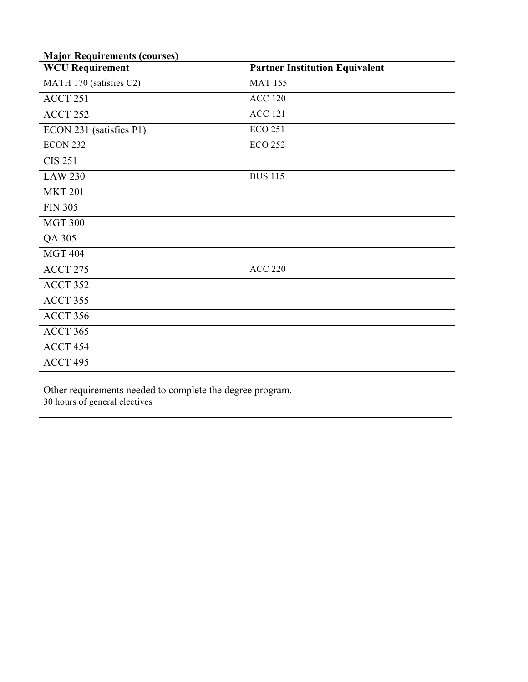|  |  | <b>Major Requirements (courses)</b> |  |  |
|--|--|-------------------------------------|--|--|
|--|--|-------------------------------------|--|--|

| итајог тедин спісніз (courses)<br><b>WCU Requirement</b> | <b>Partner Institution Equivalent</b> |  |
|----------------------------------------------------------|---------------------------------------|--|
| MATH 170 (satisfies C2)                                  | <b>MAT 155</b>                        |  |
| ACCT 251                                                 | <b>ACC 120</b>                        |  |
| ACCT 252                                                 | <b>ACC 121</b>                        |  |
| ECON 231 (satisfies P1)                                  | <b>ECO 251</b>                        |  |
| ECON 232                                                 | <b>ECO 252</b>                        |  |
| <b>CIS 251</b>                                           |                                       |  |
| <b>LAW 230</b>                                           | <b>BUS 115</b>                        |  |
| <b>MKT 201</b>                                           |                                       |  |
| <b>FIN 305</b>                                           |                                       |  |
| <b>MGT 300</b>                                           |                                       |  |
| QA 305                                                   |                                       |  |
| <b>MGT 404</b>                                           |                                       |  |
| ACCT 275                                                 | <b>ACC 220</b>                        |  |
| ACCT 352                                                 |                                       |  |
| ACCT 355                                                 |                                       |  |
| ACCT 356                                                 |                                       |  |
| ACCT 365                                                 |                                       |  |
| ACCT 454                                                 |                                       |  |
| ACCT 495                                                 |                                       |  |

Other requirements needed to complete the degree program.

30 hours of general electives